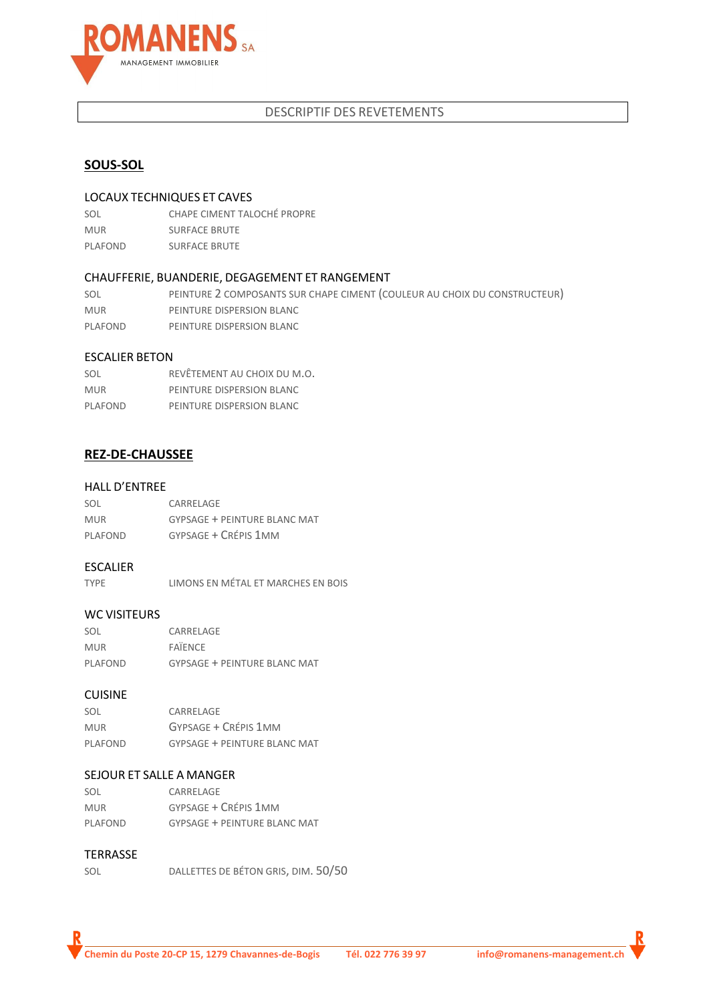

## DESCRIPTIF DES REVETEMENTS

## **SOUS-SOL**

#### LOCAUX TECHNIQUES ET CAVES

| SOL        | CHAPE CIMENT TALOCHÉ PROPRE |
|------------|-----------------------------|
| <b>MUR</b> | <b>SURFACE BRUTE</b>        |
| PLAFOND    | <b>SURFACE BRUTE</b>        |

#### CHAUFFERIE, BUANDERIE, DEGAGEMENT ET RANGEMENT

SOL PEINTURE 2 COMPOSANTS SUR CHAPE CIMENT (COULEUR AU CHOIX DU CONSTRUCTEUR) MUR **IDENTURE DISPERSION BLANC** PLAFOND PEINTURE DISPERSION BLANC

#### ESCALIER BETON

| SOL        | REVÊTEMENT AU CHOIX DU M.O. |
|------------|-----------------------------|
| <b>MUR</b> | PEINTURE DISPERSION BLANC   |
| PLAFOND    | PEINTURE DISPERSION BLANC   |

## **REZ-DE-CHAUSSEE**

#### HALL D'ENTREE

| SOL        | CARRELAGE                           |
|------------|-------------------------------------|
| <b>MUR</b> | <b>GYPSAGE + PEINTURE BLANC MAT</b> |
| PLAFOND    | GYPSAGE + CRÉPIS 1MM                |

#### ESCALIER

| <b>TYPE</b> |  | LIMONS EN MÉTAL ET MARCHES EN BOIS |  |
|-------------|--|------------------------------------|--|
|             |  |                                    |  |

#### WC VISITEURS

| SOL            | CARRELAGE                    |
|----------------|------------------------------|
| <b>MUR</b>     | <b>FAIFNCF</b>               |
| <b>PLAFOND</b> | GYPSAGE + PEINTURE BLANC MAT |

#### CUISINE

| SOL        | CARRELAGE                           |
|------------|-------------------------------------|
| <b>MUR</b> | GYPSAGE + CRÉPIS 1MM                |
| PLAFOND    | <b>GYPSAGE + PEINTURE BLANC MAT</b> |

#### SEJOUR ET SALLE A MANGER

| SOL        | CARRELAGE                           |
|------------|-------------------------------------|
| <b>MUR</b> | GYPSAGE + CRÉPIS 1MM                |
| PLAFOND    | <b>GYPSAGE + PEINTURE BLANC MAT</b> |

#### TERRASSE

| DALLETTES DE BÉTON GRIS, DIM. 50/50<br>SOL |  |
|--------------------------------------------|--|
|--------------------------------------------|--|